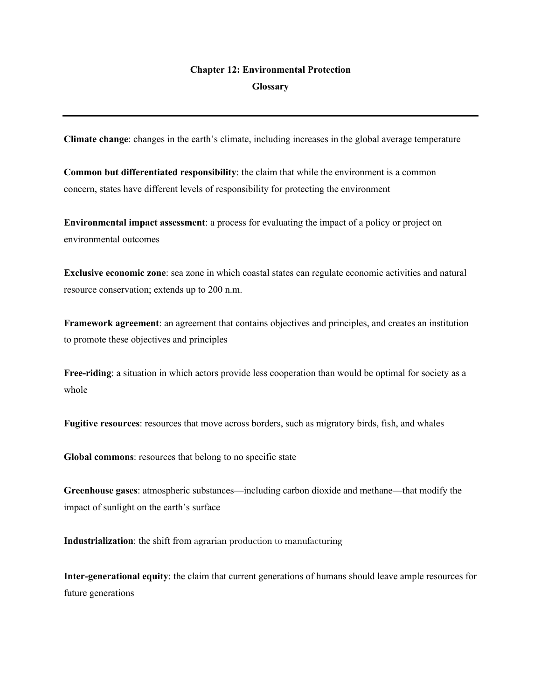## **Chapter 12: Environmental Protection Glossary**

**Climate change**: changes in the earth's climate, including increases in the global average temperature

**Common but differentiated responsibility**: the claim that while the environment is a common concern, states have different levels of responsibility for protecting the environment

**Environmental impact assessment**: a process for evaluating the impact of a policy or project on environmental outcomes

**Exclusive economic zone**: sea zone in which coastal states can regulate economic activities and natural resource conservation; extends up to 200 n.m.

**Framework agreement**: an agreement that contains objectives and principles, and creates an institution to promote these objectives and principles

**Free-riding**: a situation in which actors provide less cooperation than would be optimal for society as a whole

**Fugitive resources**: resources that move across borders, such as migratory birds, fish, and whales

**Global commons**: resources that belong to no specific state

**Greenhouse gases**: atmospheric substances—including carbon dioxide and methane—that modify the impact of sunlight on the earth's surface

**Industrialization**: the shift from agrarian production to manufacturing

**Inter-generational equity**: the claim that current generations of humans should leave ample resources for future generations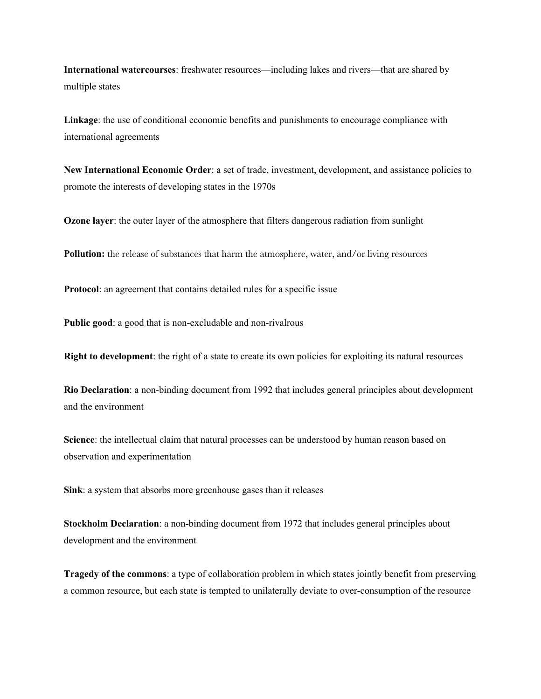**International watercourses**: freshwater resources—including lakes and rivers—that are shared by multiple states

**Linkage**: the use of conditional economic benefits and punishments to encourage compliance with international agreements

**New International Economic Order**: a set of trade, investment, development, and assistance policies to promote the interests of developing states in the 1970s

**Ozone layer**: the outer layer of the atmosphere that filters dangerous radiation from sunlight

**Pollution:** the release of substances that harm the atmosphere, water, and/or living resources

**Protocol**: an agreement that contains detailed rules for a specific issue

**Public good**: a good that is non-excludable and non-rivalrous

**Right to development**: the right of a state to create its own policies for exploiting its natural resources

**Rio Declaration**: a non-binding document from 1992 that includes general principles about development and the environment

**Science**: the intellectual claim that natural processes can be understood by human reason based on observation and experimentation

**Sink**: a system that absorbs more greenhouse gases than it releases

**Stockholm Declaration**: a non-binding document from 1972 that includes general principles about development and the environment

**Tragedy of the commons**: a type of collaboration problem in which states jointly benefit from preserving a common resource, but each state is tempted to unilaterally deviate to over-consumption of the resource